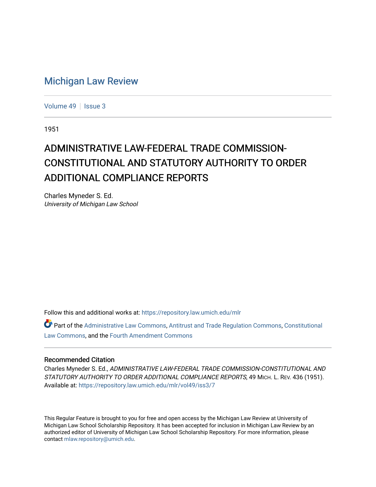## [Michigan Law Review](https://repository.law.umich.edu/mlr)

[Volume 49](https://repository.law.umich.edu/mlr/vol49) | [Issue 3](https://repository.law.umich.edu/mlr/vol49/iss3)

1951

## ADMINISTRATIVE LAW-FEDERAL TRADE COMMISSION-CONSTITUTIONAL AND STATUTORY AUTHORITY TO ORDER ADDITIONAL COMPLIANCE REPORTS

Charles Myneder S. Ed. University of Michigan Law School

Follow this and additional works at: [https://repository.law.umich.edu/mlr](https://repository.law.umich.edu/mlr?utm_source=repository.law.umich.edu%2Fmlr%2Fvol49%2Fiss3%2F7&utm_medium=PDF&utm_campaign=PDFCoverPages) 

Part of the [Administrative Law Commons,](http://network.bepress.com/hgg/discipline/579?utm_source=repository.law.umich.edu%2Fmlr%2Fvol49%2Fiss3%2F7&utm_medium=PDF&utm_campaign=PDFCoverPages) [Antitrust and Trade Regulation Commons,](http://network.bepress.com/hgg/discipline/911?utm_source=repository.law.umich.edu%2Fmlr%2Fvol49%2Fiss3%2F7&utm_medium=PDF&utm_campaign=PDFCoverPages) [Constitutional](http://network.bepress.com/hgg/discipline/589?utm_source=repository.law.umich.edu%2Fmlr%2Fvol49%2Fiss3%2F7&utm_medium=PDF&utm_campaign=PDFCoverPages) [Law Commons,](http://network.bepress.com/hgg/discipline/589?utm_source=repository.law.umich.edu%2Fmlr%2Fvol49%2Fiss3%2F7&utm_medium=PDF&utm_campaign=PDFCoverPages) and the [Fourth Amendment Commons](http://network.bepress.com/hgg/discipline/1180?utm_source=repository.law.umich.edu%2Fmlr%2Fvol49%2Fiss3%2F7&utm_medium=PDF&utm_campaign=PDFCoverPages) 

## Recommended Citation

Charles Myneder S. Ed., ADMINISTRATIVE LAW-FEDERAL TRADE COMMISSION-CONSTITUTIONAL AND STATUTORY AUTHORITY TO ORDER ADDITIONAL COMPLIANCE REPORTS, 49 MICH. L. REV. 436 (1951). Available at: [https://repository.law.umich.edu/mlr/vol49/iss3/7](https://repository.law.umich.edu/mlr/vol49/iss3/7?utm_source=repository.law.umich.edu%2Fmlr%2Fvol49%2Fiss3%2F7&utm_medium=PDF&utm_campaign=PDFCoverPages)

This Regular Feature is brought to you for free and open access by the Michigan Law Review at University of Michigan Law School Scholarship Repository. It has been accepted for inclusion in Michigan Law Review by an authorized editor of University of Michigan Law School Scholarship Repository. For more information, please contact [mlaw.repository@umich.edu](mailto:mlaw.repository@umich.edu).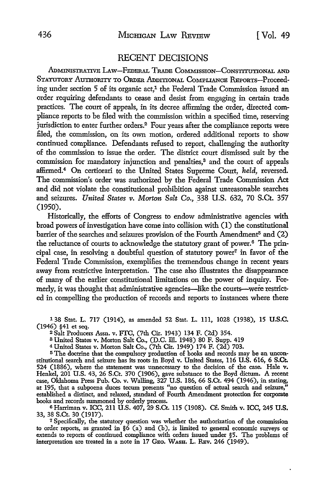## RECENT DECISIONS

ADMINISTRATIVE LAW-FEDERAL TRADB CoMMISSION-CONSTITUTIONAL AND STATUTORY AUTHORITY TO ORDER ADDITIONAL COMPLIANCE REPORTS-Proceeding under section 5 of its organic act,<sup>1</sup> the Federal Trade Commission issued an order requiring defendants to cease and desist from engaging in certain trade practices. The court of appeals, in its decree affirming the order, directed compliance reports to be filed with the commission within a specified time, reserving jurisdiction to enter further orders.<sup>2</sup> Four years after the compliance reports were filed, the commission, on its own motion, ordered additional reports to show continued compliance. Defendants refused to report, challenging the authority of the commission to issue the order. The district court dismissed suit by the commission for mandatory injunction and penalties,<sup>3</sup> and the court of appeals affumed.4 On certiorari to the United States Supreme Court, *held,* reversed. The commission's order was authorized by the Federal Trade Commission Act and did not violate the constitutional prohibition against unreasonable searches and seizures. *United States v. Morton Salt Co.,* \_338 U.S. 632, 70 S.Ct. 357 (1950).

Historically, the efforts of Congress to endow administrative agencies with broad powers of investigation have come into collision with (I) the constitutional barrier of the searches and seizures provision of the Fourth Amendment<sup>5</sup> and (2) the reluctance of courts to acknowledge the statutory grant of power. 6 The principal case, in resolving a doubtful question of statutory power7 in favor of the Federal Trade Commission, exemplifies the tremendous change in recent years away from restrictive interpretation. The case also illustrates the disappearance of many of the earlier constitutional limitations on the power of inquiry. Formerly, it was thought that administrative agencies-like the courts-were restricted in compelling the production of records and reports to instances where there

138 Stat. L. 717 (1914), as amended 52 Stat. L. Ill, 1028 (1938), 15 U.S.C. (1946) §41 et seq.

<sup>2</sup>Salt Producers Assn. v. FfC, (7th Cir. 1943) 134 F. (2d) 354.

s United States v. Morton Salt Co., (D.C. ID. 1948) 80 F. Supp. 419

<sup>4</sup>United States v. Morton Salt Co., (7th Cir. 1949) 174 F. (2d) 703.

5 The doctrine that the compulsory production of books and records may be an unconstitutional search and seizure has its roots in Boyd v. United States, 116 U.S. 616, 6 S.Ct. 524 (1886), where the statement was unnecessary to the decision of the case. Hale v. Henkel, 201 U.S. 43, 26 S.Ct. 370 (1906), gave substance to the Boyd dictum. A recent case, Oklahoma Press Pub. Co. v. Walling, 327 U.S. 186, 66 S.Ct. 494 (1946), in stating, at 195, that a subpoena duces tecum presents "no question of actual search and seizure," established a distinct, and relaxed, standard of Fourth Amendment protection for corporate books and records summoned by orderly process.

<sup>6</sup>Harriman v. ICC, 211 U.S. 407, 29 S.Ct. 115 (1908). Cf. Smith v. ICC, 245 **U.S.**  33, 38 S.Ct. 30 (1917).

<sup>7</sup>Specifically, the statutory question was whether the authorization of the commission to order reports, as granted in §6 (a) and (b), is limited to general economic surveys or extends to reports of continued compliance with orders issued under §5. The problems of interpretation are treated in a note in 17 GEo. WASH. L. REv. 246 (1949).